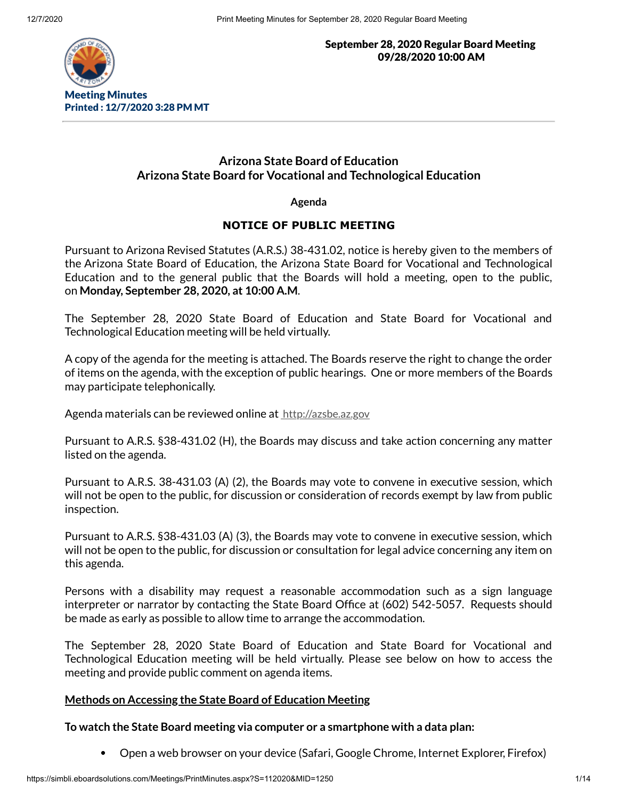

September 28, 2020 Regular Board Meeting 09/28/2020 10:00 AM

# **Arizona State Board of Education Arizona State Board for Vocational and Technological Education**

**Agenda**

## **NOTICE OF PUBLIC MEETING**

Pursuant to Arizona Revised Statutes (A.R.S.) 38-431.02, notice is hereby given to the members of the Arizona State Board of Education, the Arizona State Board for Vocational and Technological Education and to the general public that the Boards will hold a meeting, open to the public, on **Monday, September 28, 2020, at 10:00 A.M**.

The September 28, 2020 State Board of Education and State Board for Vocational and Technological Education meeting will be held virtually.

A copy of the agenda for the meeting is attached. The Boards reserve the right to change the order of items on the agenda, with the exception of public hearings. One or more members of the Boards may participate telephonically.

Agenda materials can be reviewed online at [http://azsbe.az.gov](http://azsbe.az.gov/)

Pursuant to A.R.S. §38-431.02 (H), the Boards may discuss and take action concerning any matter listed on the agenda.

Pursuant to A.R.S. 38-431.03 (A) (2), the Boards may vote to convene in executive session, which will not be open to the public, for discussion or consideration of records exempt by law from public inspection.

Pursuant to A.R.S. §38-431.03 (A) (3), the Boards may vote to convene in executive session, which will not be open to the public, for discussion or consultation for legal advice concerning any item on this agenda.

Persons with a disability may request a reasonable accommodation such as a sign language interpreter or narrator by contacting the State Board Office at (602) 542-5057. Requests should be made as early as possible to allow time to arrange the accommodation.

The September 28, 2020 State Board of Education and State Board for Vocational and Technological Education meeting will be held virtually. Please see below on how to access the meeting and provide public comment on agenda items.

## **Methods on Accessing the State Board of Education Meeting**

**To watch the State Board meeting via computer or a smartphone with a data plan:**

Open a web browser on your device (Safari, Google Chrome, Internet Explorer, Firefox) $\bullet$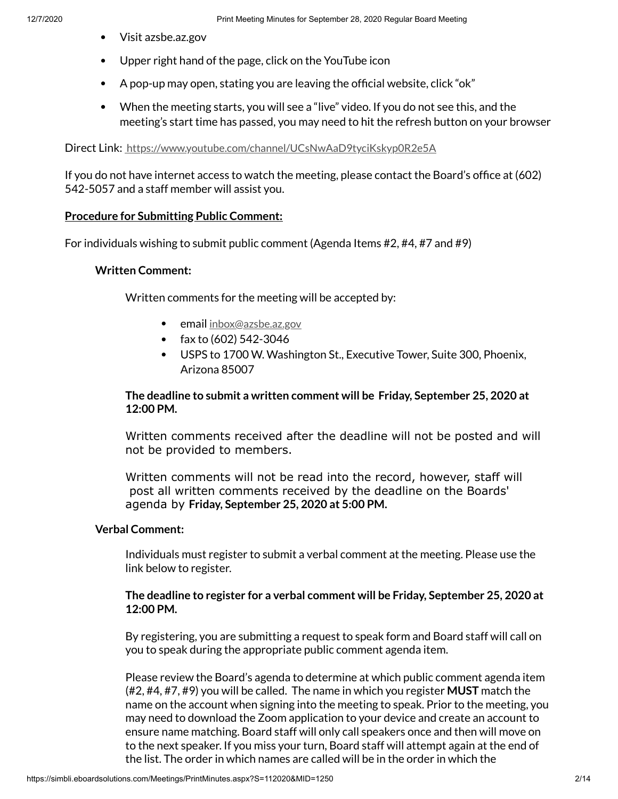- Visit azsbe.az.gov
- Upper right hand of the page, click on the YouTube icon
- $\bullet$  A pop-up may open, stating you are leaving the official website, click "ok"
- When the meeting starts, you will see a "live" video. If you do not see this, and the meeting's start time has passed, you may need to hit the refresh button on your browser

Direct Link: <https://www.youtube.com/channel/UCsNwAaD9tyciKskyp0R2e5A>

If you do not have internet access to watch the meeting, please contact the Board's office at  $(602)$ 542-5057 and a staff member will assist you.

## **Procedure for Submitting Public Comment:**

For individuals wishing to submit public comment (Agenda Items #2, #4, #7 and #9)

### **Written Comment:**

Written comments for the meeting will be accepted by:

- **email** [inbox@azsbe.az.gov](mailto:inbox@azsbe.az.gov)
- fax to  $(602)$  542-3046
- USPS to 1700 W. Washington St., Executive Tower, Suite 300, Phoenix, Arizona 85007

## **The deadline to submit a written comment will be Friday, September 25, 2020 at 12:00 PM.**

Written comments received after the deadline will not be posted and will not be provided to members.

Written comments will not be read into the record, however, staff will post all written comments received by the deadline on the Boards' agenda by **Friday, September 25, 2020 at 5:00 PM.**

## **Verbal Comment:**

Individuals must register to submit a verbal comment at the meeting. Please use the link below to register.

## **The deadline to register for a verbal comment will be Friday, September 25, 2020 at 12:00 PM.**

By registering, you are submitting a request to speak form and Board staff will call on you to speak during the appropriate public comment agenda item.

Please review the Board's agenda to determine at which public comment agenda item (#2, #4, #7, #9) you will be called. The name in which you register **MUST** match the name on the account when signing into the meeting to speak. Prior to the meeting, you may need to download the Zoom application to your device and create an account to ensure name matching. Board staff will only call speakers once and then will move on to the next speaker. If you miss your turn, Board staff will attempt again at the end of the list. The order in which names are called will be in the order in which the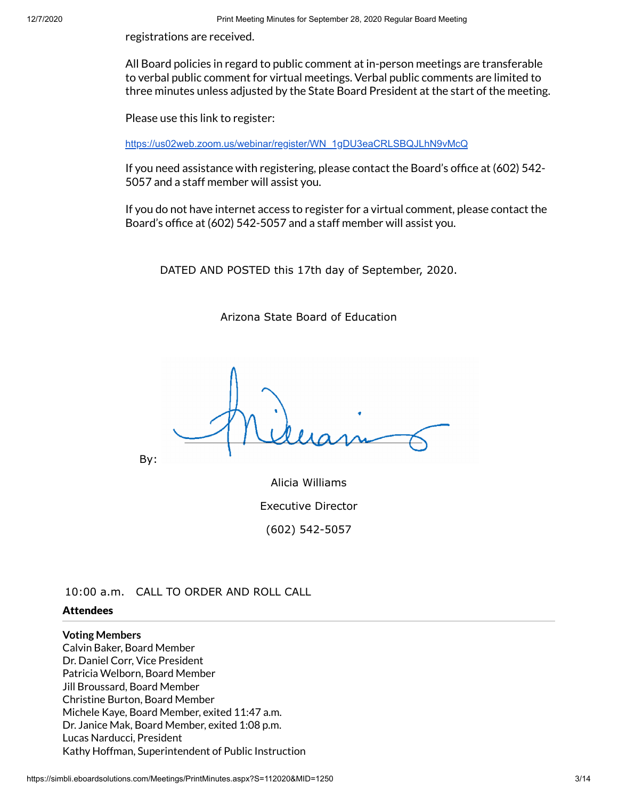registrations are received.

All Board policies in regard to public comment at in-person meetings are transferable to verbal public comment for virtual meetings. Verbal public comments are limited to three minutes unless adjusted by the State Board President at the start of the meeting.

Please use this link to register:

[https://us02web.zoom.us/webinar/register/WN\\_1gDU3eaCRLSBQJLhN9vMcQ](https://us02web.zoom.us/webinar/register/WN_1gDU3eaCRLSBQJLhN9vMcQ)

If you need assistance with registering, please contact the Board's office at  $(602)$  542-5057 and a staff member will assist you.

If you do not have internet access to register for a virtual comment, please contact the Board's office at (602) 542-5057 and a staff member will assist you.

DATED AND POSTED this 17th day of September, 2020.

Arizona State Board of Education

By:

Alicia Williams Executive Director (602) 542-5057

10:00 a.m. CALL TO ORDER AND ROLL CALL

#### **Attendees**

#### **Voting Members**

Calvin Baker, Board Member Dr. Daniel Corr, Vice President Patricia Welborn, Board Member Jill Broussard, Board Member Christine Burton, Board Member Michele Kaye, Board Member, exited 11:47 a.m. Dr. Janice Mak, Board Member, exited 1:08 p.m. Lucas Narducci, President Kathy Hoffman, Superintendent of Public Instruction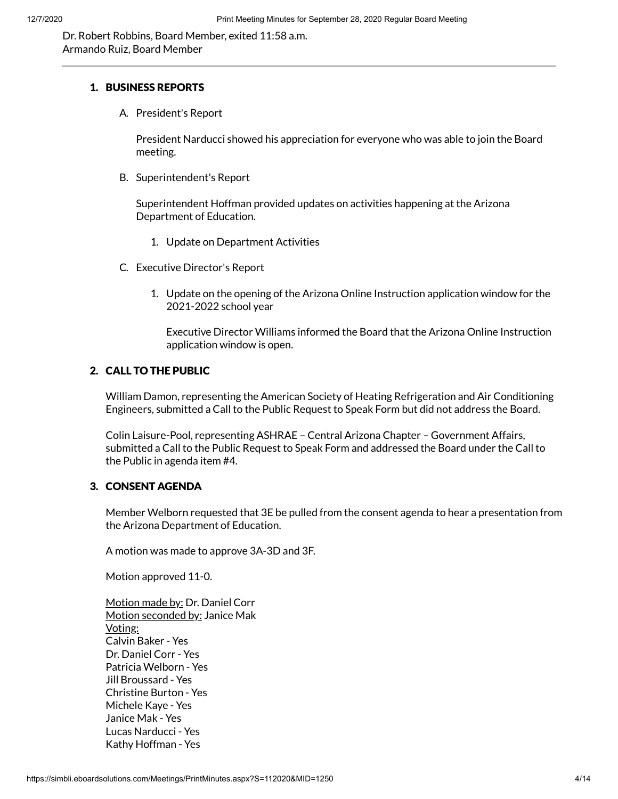Dr. Robert Robbins, Board Member, exited 11:58 a.m. Armando Ruiz, Board Member

#### 1. BUSINESS REPORTS

A. President's Report

President Narducci showed his appreciation for everyone who was able to join the Board meeting.

B. Superintendent's Report

Superintendent Hoffman provided updates on activities happening at the Arizona Department of Education.

- 1. Update on Department Activities
- C. Executive Director's Report
	- 1. Update on the opening of the Arizona Online Instruction application window for the 2021-2022 school year

Executive Director Williams informed the Board that the Arizona Online Instruction application window is open.

### 2. CALL TO THE PUBLIC

William Damon, representing the American Society of Heating Refrigeration and Air Conditioning Engineers, submitted a Call to the Public Request to Speak Form but did not address the Board.

Colin Laisure-Pool, representing ASHRAE – Central Arizona Chapter – Government Affairs, submitted a Call to the Public Request to Speak Form and addressed the Board under the Call to the Public in agenda item #4.

#### 3. CONSENT AGENDA

Member Welborn requested that 3E be pulled from the consent agenda to hear a presentation from the Arizona Department of Education.

A motion was made to approve 3A-3D and 3F.

Motion approved 11-0.

Motion made by: Dr. Daniel Corr Motion seconded by: Janice Mak Voting: Calvin Baker - Yes Dr. Daniel Corr - Yes Patricia Welborn - Yes Jill Broussard - Yes Christine Burton - Yes Michele Kaye - Yes Janice Mak - Yes Lucas Narducci - Yes Kathy Hoffman - Yes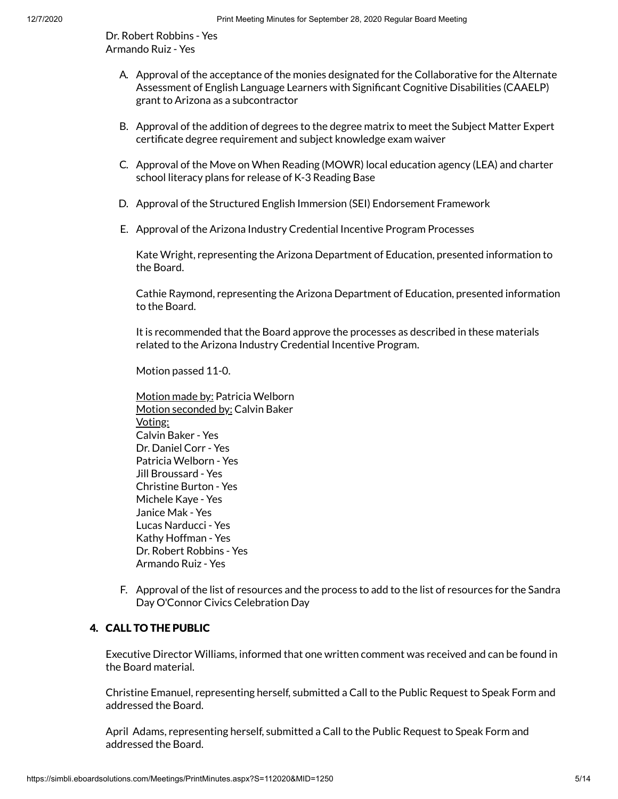Dr. Robert Robbins - Yes Armando Ruiz - Yes

- A. Approval of the acceptance of the monies designated for the Collaborative for the Alternate Assessment of English Language Learners with Significant Cognitive Disabilities (CAAELP) grant to Arizona as a subcontractor
- B. Approval of the addition of degrees to the degree matrix to meet the Subject Matter Expert certificate degree requirement and subject knowledge exam waiver
- C. Approval of the Move on When Reading (MOWR) local education agency (LEA) and charter school literacy plans for release of K-3 Reading Base
- D. Approval of the Structured English Immersion (SEI) Endorsement Framework
- E. Approval of the Arizona Industry Credential Incentive Program Processes

Kate Wright, representing the Arizona Department of Education, presented information to the Board.

Cathie Raymond, representing the Arizona Department of Education, presented information to the Board.

It is recommended that the Board approve the processes as described in these materials related to the Arizona Industry Credential Incentive Program.

Motion passed 11-0.

- Motion made by: Patricia Welborn Motion seconded by: Calvin Baker Voting: Calvin Baker - Yes Dr. Daniel Corr - Yes Patricia Welborn - Yes Jill Broussard - Yes Christine Burton - Yes Michele Kaye - Yes Janice Mak - Yes Lucas Narducci - Yes Kathy Hoffman - Yes Dr. Robert Robbins - Yes Armando Ruiz - Yes
- F. Approval of the list of resources and the process to add to the list of resources for the Sandra Day O'Connor Civics Celebration Day

## 4. CALL TO THE PUBLIC

Executive Director Williams, informed that one written comment was received and can be found in the Board material.

Christine Emanuel, representing herself, submitted a Call to the Public Request to Speak Form and addressed the Board.

April Adams, representing herself, submitted a Call to the Public Request to Speak Form and addressed the Board.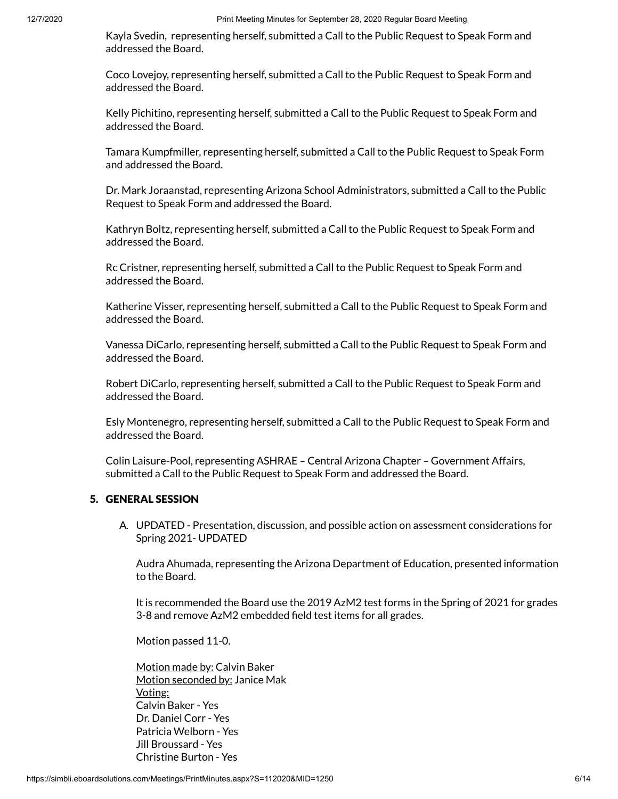Kayla Svedin, representing herself, submitted a Call to the Public Request to Speak Form and addressed the Board.

Coco Lovejoy, representing herself, submitted a Call to the Public Request to Speak Form and addressed the Board.

Kelly Pichitino, representing herself, submitted a Call to the Public Request to Speak Form and addressed the Board.

Tamara Kumpfmiller, representing herself, submitted a Call to the Public Request to Speak Form and addressed the Board.

Dr. Mark Joraanstad, representing Arizona School Administrators, submitted a Call to the Public Request to Speak Form and addressed the Board.

Kathryn Boltz, representing herself, submitted a Call to the Public Request to Speak Form and addressed the Board.

Rc Cristner, representing herself, submitted a Call to the Public Request to Speak Form and addressed the Board.

Katherine Visser, representing herself, submitted a Call to the Public Request to Speak Form and addressed the Board.

Vanessa DiCarlo, representing herself, submitted a Call to the Public Request to Speak Form and addressed the Board.

Robert DiCarlo, representing herself, submitted a Call to the Public Request to Speak Form and addressed the Board.

Esly Montenegro, representing herself, submitted a Call to the Public Request to Speak Form and addressed the Board.

Colin Laisure-Pool, representing ASHRAE – Central Arizona Chapter – Government Affairs, submitted a Call to the Public Request to Speak Form and addressed the Board.

#### 5. GENERAL SESSION

A. UPDATED - Presentation, discussion, and possible action on assessment considerations for Spring 2021- UPDATED

Audra Ahumada, representing the Arizona Department of Education, presented information to the Board.

It is recommended the Board use the 2019 AzM2 test forms in the Spring of 2021 for grades 3-8 and remove AzM2 embedded field test items for all grades.

Motion passed 11-0.

Motion made by: Calvin Baker Motion seconded by: Janice Mak Voting: Calvin Baker - Yes Dr. Daniel Corr - Yes Patricia Welborn - Yes Jill Broussard - Yes Christine Burton - Yes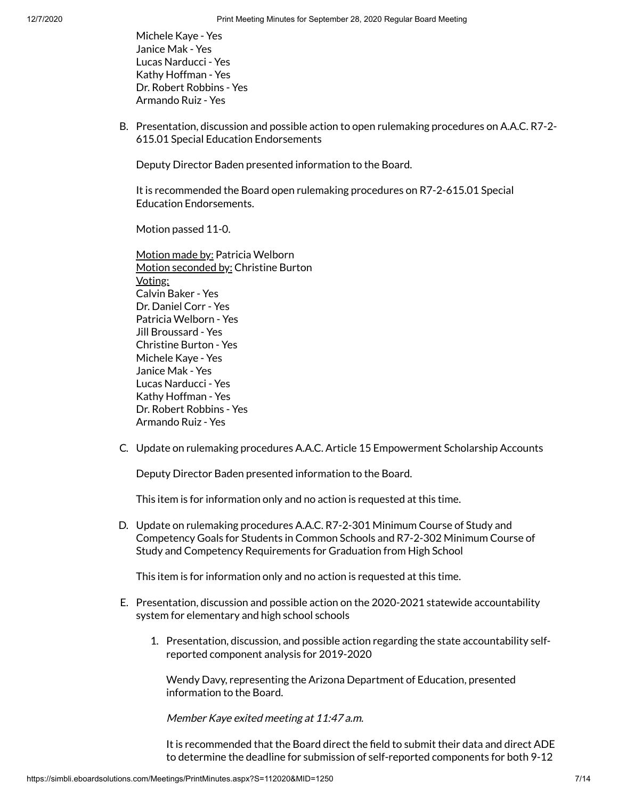Michele Kaye - Yes Janice Mak - Yes Lucas Narducci - Yes Kathy Hoffman - Yes Dr. Robert Robbins - Yes Armando Ruiz - Yes

B. Presentation, discussion and possible action to open rulemaking procedures on A.A.C. R7-2- 615.01 Special Education Endorsements

Deputy Director Baden presented information to the Board.

It is recommended the Board open rulemaking procedures on R7-2-615.01 Special Education Endorsements.

Motion passed 11-0.

Motion made by: Patricia Welborn Motion seconded by: Christine Burton Voting: Calvin Baker - Yes Dr. Daniel Corr - Yes Patricia Welborn - Yes Jill Broussard - Yes Christine Burton - Yes Michele Kaye - Yes Janice Mak - Yes Lucas Narducci - Yes Kathy Hoffman - Yes Dr. Robert Robbins - Yes Armando Ruiz - Yes

C. Update on rulemaking procedures A.A.C. Article 15 Empowerment Scholarship Accounts

Deputy Director Baden presented information to the Board.

This item is for information only and no action is requested at this time.

D. Update on rulemaking procedures A.A.C. R7-2-301 Minimum Course of Study and Competency Goals for Students in Common Schools and R7-2-302 Minimum Course of Study and Competency Requirements for Graduation from High School

This item is for information only and no action is requested at this time.

- E. Presentation, discussion and possible action on the 2020-2021 statewide accountability system for elementary and high school schools
	- 1. Presentation, discussion, and possible action regarding the state accountability selfreported component analysis for 2019-2020

Wendy Davy, representing the Arizona Department of Education, presented information to the Board.

Member Kaye exited meeting at 11:47 a.m.

It is recommended that the Board direct the field to submit their data and direct ADE to determine the deadline for submission of self-reported components for both 9-12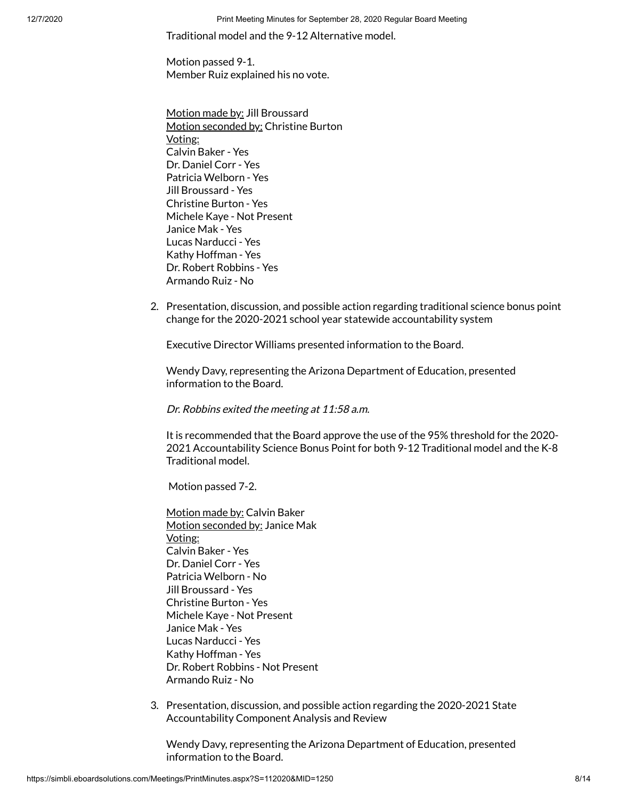12/7/2020 Print Meeting Minutes for September 28, 2020 Regular Board Meeting

Traditional model and the 9-12 Alternative model.

Motion passed 9-1. Member Ruiz explained his no vote.

Motion made by: Jill Broussard Motion seconded by: Christine Burton Voting: Calvin Baker - Yes Dr. Daniel Corr - Yes Patricia Welborn - Yes Jill Broussard - Yes Christine Burton - Yes Michele Kaye - Not Present Janice Mak - Yes Lucas Narducci - Yes Kathy Hoffman - Yes Dr. Robert Robbins - Yes Armando Ruiz - No

2. Presentation, discussion, and possible action regarding traditional science bonus point change for the 2020-2021 school year statewide accountability system

Executive Director Williams presented information to the Board.

Wendy Davy, representing the Arizona Department of Education, presented information to the Board.

Dr. Robbins exited the meeting at 11:58 a.m.

It is recommended that the Board approve the use of the 95% threshold for the 2020- 2021 Accountability Science Bonus Point for both 9-12 Traditional model and the K-8 Traditional model.

Motion passed 7-2.

Motion made by: Calvin Baker Motion seconded by: Janice Mak Voting: Calvin Baker - Yes Dr. Daniel Corr - Yes Patricia Welborn - No Jill Broussard - Yes Christine Burton - Yes Michele Kaye - Not Present Janice Mak - Yes Lucas Narducci - Yes Kathy Hoffman - Yes Dr. Robert Robbins - Not Present Armando Ruiz - No

3. Presentation, discussion, and possible action regarding the 2020-2021 State Accountability Component Analysis and Review

Wendy Davy, representing the Arizona Department of Education, presented information to the Board.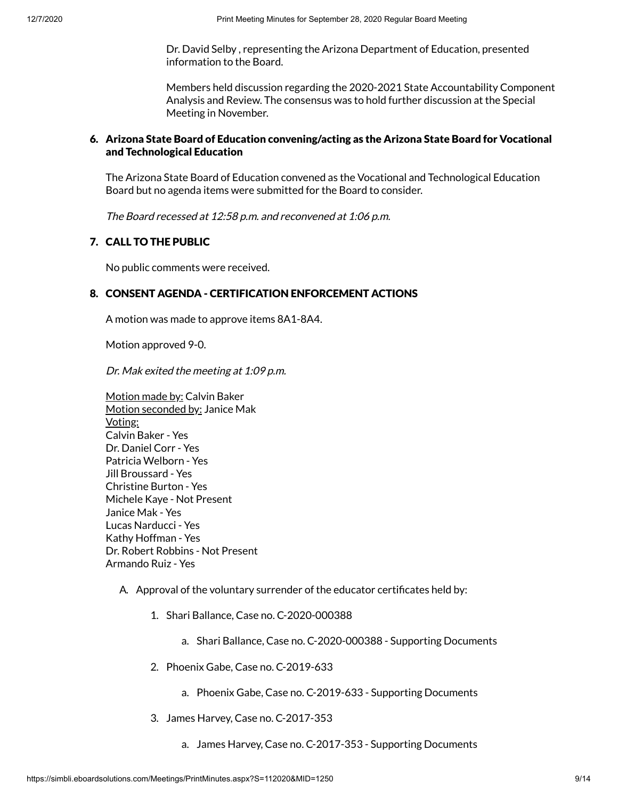Dr. David Selby , representing the Arizona Department of Education, presented information to the Board.

Members held discussion regarding the 2020-2021 State Accountability Component Analysis and Review. The consensus was to hold further discussion at the Special Meeting in November.

### 6. Arizona State Board of Education convening/acting as the Arizona State Board for Vocational and Technological Education

The Arizona State Board of Education convened as the Vocational and Technological Education Board but no agenda items were submitted for the Board to consider.

The Board recessed at 12:58 p.m. and reconvened at 1:06 p.m.

### 7. CALL TO THE PUBLIC

No public comments were received.

#### 8. CONSENT AGENDA - CERTIFICATION ENFORCEMENT ACTIONS

A motion was made to approve items 8A1-8A4.

Motion approved 9-0.

Dr. Mak exited the meeting at 1:09 p.m.

Motion made by: Calvin Baker Motion seconded by: Janice Mak Voting: Calvin Baker - Yes Dr. Daniel Corr - Yes Patricia Welborn - Yes Jill Broussard - Yes Christine Burton - Yes Michele Kaye - Not Present Janice Mak - Yes Lucas Narducci - Yes Kathy Hoffman - Yes Dr. Robert Robbins - Not Present Armando Ruiz - Yes

#### A. Approval of the voluntary surrender of the educator certificates held by:

- 1. Shari Ballance, Case no. C-2020-000388
	- a. Shari Ballance, Case no. C-2020-000388 Supporting Documents
- 2. Phoenix Gabe, Case no. C-2019-633
	- a. Phoenix Gabe, Case no. C-2019-633 Supporting Documents
- 3. James Harvey, Case no. C-2017-353
	- a. James Harvey, Case no. C-2017-353 Supporting Documents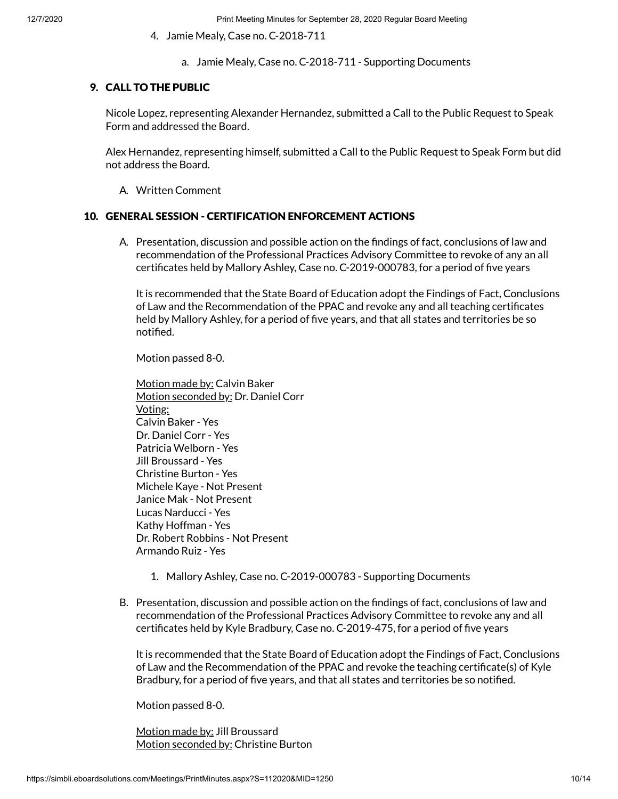- 4. Jamie Mealy, Case no. C-2018-711
	- a. Jamie Mealy, Case no. C-2018-711 Supporting Documents

#### 9. CALL TO THE PUBLIC

Nicole Lopez, representing Alexander Hernandez, submitted a Call to the Public Request to Speak Form and addressed the Board.

Alex Hernandez, representing himself, submitted a Call to the Public Request to Speak Form but did not address the Board.

A. Written Comment

#### 10. GENERAL SESSION - CERTIFICATION ENFORCEMENT ACTIONS

A. Presentation, discussion and possible action on the findings of fact, conclusions of law and recommendation of the Professional Practices Advisory Committee to revoke of any an all certificates held by Mallory Ashley, Case no. C-2019-000783, for a period of five years

It is recommended that the State Board of Education adopt the Findings of Fact, Conclusions of Law and the Recommendation of the PPAC and revoke any and all teaching certificates held by Mallory Ashley, for a period of five years, and that all states and territories be so notified.

Motion passed 8-0.

Motion made by: Calvin Baker Motion seconded by: Dr. Daniel Corr Voting: Calvin Baker - Yes Dr. Daniel Corr - Yes Patricia Welborn - Yes Jill Broussard - Yes Christine Burton - Yes Michele Kaye - Not Present Janice Mak - Not Present Lucas Narducci - Yes Kathy Hoffman - Yes Dr. Robert Robbins - Not Present Armando Ruiz - Yes

- 1. Mallory Ashley, Case no. C-2019-000783 Supporting Documents
- B. Presentation, discussion and possible action on the findings of fact, conclusions of law and recommendation of the Professional Practices Advisory Committee to revoke any and all certificates held by Kyle Bradbury, Case no. C-2019-475, for a period of five years

It is recommended that the State Board of Education adopt the Findings of Fact, Conclusions of Law and the Recommendation of the PPAC and revoke the teaching certificate(s) of Kyle Bradbury, for a period of five years, and that all states and territories be so notified.

Motion passed 8-0.

Motion made by: Jill Broussard Motion seconded by: Christine Burton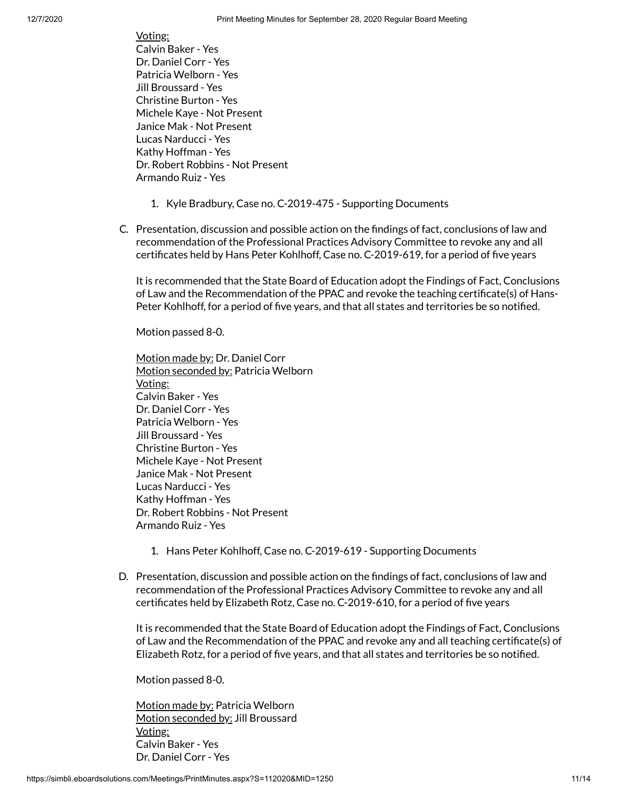Voting: Calvin Baker - Yes Dr. Daniel Corr - Yes Patricia Welborn - Yes Jill Broussard - Yes Christine Burton - Yes Michele Kaye - Not Present Janice Mak - Not Present Lucas Narducci - Yes Kathy Hoffman - Yes Dr. Robert Robbins - Not Present Armando Ruiz - Yes

- 1. Kyle Bradbury, Case no. C-2019-475 Supporting Documents
- C. Presentation, discussion and possible action on the findings of fact, conclusions of law and recommendation of the Professional Practices Advisory Committee to revoke any and all certificates held by Hans Peter Kohlhoff, Case no. C-2019-619, for a period of five years

It is recommended that the State Board of Education adopt the Findings of Fact, Conclusions of Law and the Recommendation of the PPAC and revoke the teaching certificate(s) of Hans-Peter Kohlhoff, for a period of five years, and that all states and territories be so notified.

Motion passed 8-0.

Motion made by: Dr. Daniel Corr Motion seconded by: Patricia Welborn Voting: Calvin Baker - Yes Dr. Daniel Corr - Yes Patricia Welborn - Yes Jill Broussard - Yes Christine Burton - Yes Michele Kaye - Not Present Janice Mak - Not Present Lucas Narducci - Yes Kathy Hoffman - Yes Dr. Robert Robbins - Not Present Armando Ruiz - Yes

- 1. Hans Peter Kohlhoff, Case no. C-2019-619 Supporting Documents
- D. Presentation, discussion and possible action on the findings of fact, conclusions of law and recommendation of the Professional Practices Advisory Committee to revoke any and all certificates held by Elizabeth Rotz, Case no. C-2019-610, for a period of five years

It is recommended that the State Board of Education adopt the Findings of Fact, Conclusions of Law and the Recommendation of the PPAC and revoke any and all teaching certificate(s) of Elizabeth Rotz, for a period of five years, and that all states and territories be so notified.

Motion passed 8-0.

Motion made by: Patricia Welborn Motion seconded by: Jill Broussard Voting: Calvin Baker - Yes Dr. Daniel Corr - Yes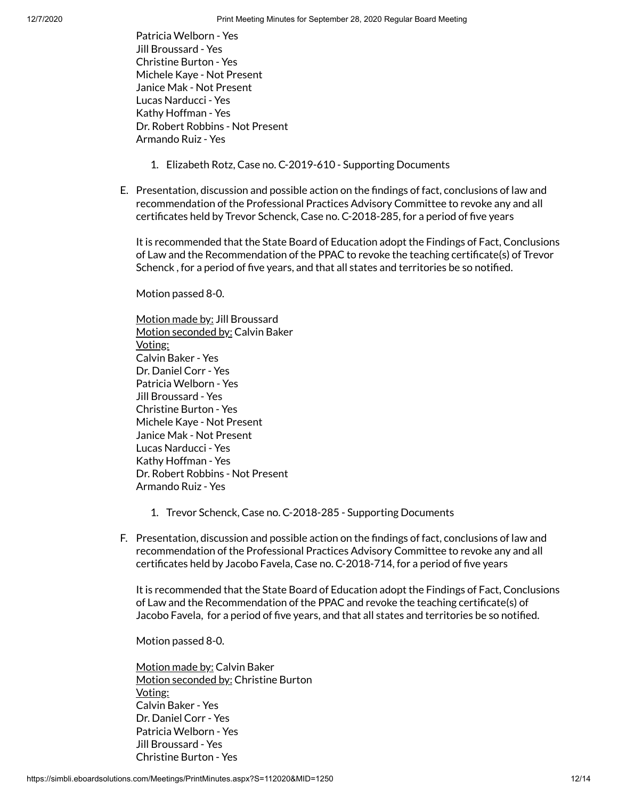Patricia Welborn - Yes Jill Broussard - Yes Christine Burton - Yes Michele Kaye - Not Present Janice Mak - Not Present Lucas Narducci - Yes Kathy Hoffman - Yes Dr. Robert Robbins - Not Present Armando Ruiz - Yes

- 1. Elizabeth Rotz, Case no. C-2019-610 Supporting Documents
- E. Presentation, discussion and possible action on the findings of fact, conclusions of law and recommendation of the Professional Practices Advisory Committee to revoke any and all certificates held by Trevor Schenck, Case no. C-2018-285, for a period of five years

It is recommended that the State Board of Education adopt the Findings of Fact, Conclusions of Law and the Recommendation of the PPAC to revoke the teaching certificate(s) of Trevor Schenck, for a period of five years, and that all states and territories be so notified.

Motion passed 8-0.

Motion made by: Jill Broussard Motion seconded by: Calvin Baker Voting: Calvin Baker - Yes Dr. Daniel Corr - Yes Patricia Welborn - Yes Jill Broussard - Yes Christine Burton - Yes Michele Kaye - Not Present Janice Mak - Not Present Lucas Narducci - Yes Kathy Hoffman - Yes Dr. Robert Robbins - Not Present Armando Ruiz - Yes

- 1. Trevor Schenck, Case no. C-2018-285 Supporting Documents
- F. Presentation, discussion and possible action on the findings of fact, conclusions of law and recommendation of the Professional Practices Advisory Committee to revoke any and all certificates held by Jacobo Favela, Case no. C-2018-714, for a period of five years

It is recommended that the State Board of Education adopt the Findings of Fact, Conclusions of Law and the Recommendation of the PPAC and revoke the teaching certificate(s) of Jacobo Favela, for a period of five years, and that all states and territories be so notified.

Motion passed 8-0.

Motion made by: Calvin Baker Motion seconded by: Christine Burton Voting: Calvin Baker - Yes Dr. Daniel Corr - Yes Patricia Welborn - Yes Jill Broussard - Yes Christine Burton - Yes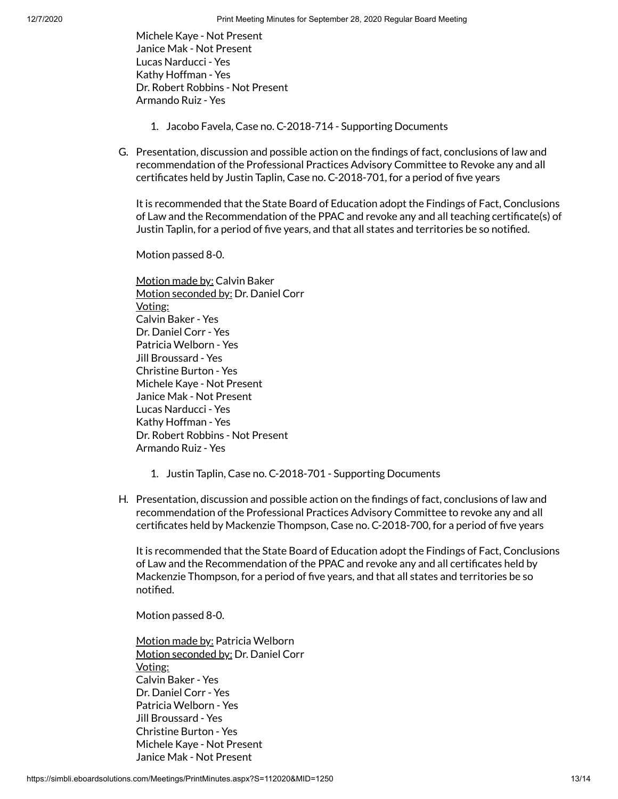Michele Kaye - Not Present Janice Mak - Not Present Lucas Narducci - Yes Kathy Hoffman - Yes Dr. Robert Robbins - Not Present Armando Ruiz - Yes

- 1. Jacobo Favela, Case no. C-2018-714 Supporting Documents
- G. Presentation, discussion and possible action on the findings of fact, conclusions of law and recommendation of the Professional Practices Advisory Committee to Revoke any and all certificates held by Justin Taplin, Case no. C-2018-701, for a period of five years

It is recommended that the State Board of Education adopt the Findings of Fact, Conclusions of Law and the Recommendation of the PPAC and revoke any and all teaching certificate(s) of Justin Taplin, for a period of five years, and that all states and territories be so notified.

Motion passed 8-0.

Motion made by: Calvin Baker Motion seconded by: Dr. Daniel Corr Voting: Calvin Baker - Yes Dr. Daniel Corr - Yes Patricia Welborn - Yes Jill Broussard - Yes Christine Burton - Yes Michele Kaye - Not Present Janice Mak - Not Present Lucas Narducci - Yes Kathy Hoffman - Yes Dr. Robert Robbins - Not Present Armando Ruiz - Yes

- 1. Justin Taplin, Case no. C-2018-701 Supporting Documents
- H. Presentation, discussion and possible action on the findings of fact, conclusions of law and recommendation of the Professional Practices Advisory Committee to revoke any and all certificates held by Mackenzie Thompson, Case no. C-2018-700, for a period of five years

It is recommended that the State Board of Education adopt the Findings of Fact, Conclusions of Law and the Recommendation of the PPAC and revoke any and all certificates held by Mackenzie Thompson, for a period of five years, and that all states and territories be so notified.

Motion passed 8-0.

Motion made by: Patricia Welborn Motion seconded by: Dr. Daniel Corr Voting: Calvin Baker - Yes Dr. Daniel Corr - Yes Patricia Welborn - Yes Jill Broussard - Yes Christine Burton - Yes Michele Kaye - Not Present Janice Mak - Not Present